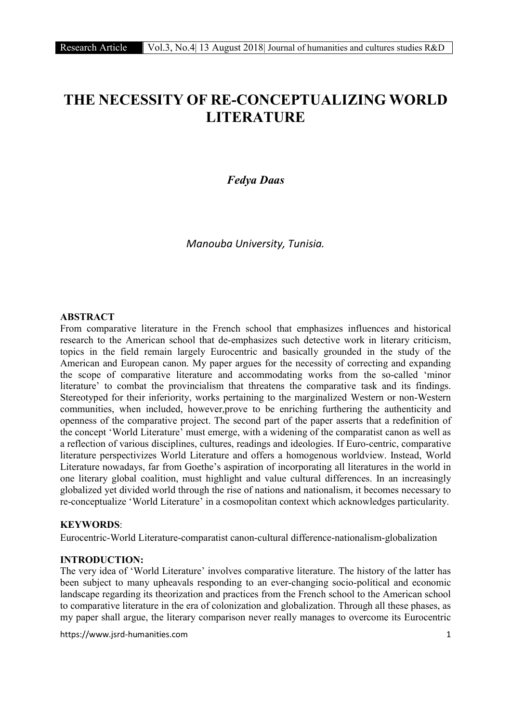# THE NECESSITY OF RE-CONCEPTUALIZING WORLD LITERATURE

# *Fedya Daas*

*Manouba University, Tunisia.*

# ABSTRACT

From comparative literature in the French school that emphasizes influences and historical research to the American school that de-emphasizes such detective work in literary criticism, topics in the field remain largely Eurocentric and basically grounded in the study of the American and European canon. My paper argues for the necessity of correcting and expanding the scope of comparative literature and accommodating works from the so-called 'minor literature' to combat the provincialism that threatens the comparative task and its findings. Stereotyped for their inferiority, works pertaining to the marginalized Western or non-Western communities, when included, however,prove to be enriching furthering the authenticity and openness of the comparative project. The second part of the paper asserts that a redefinition of the concept 'World Literature' must emerge, with a widening of the comparatist canon as well as a reflection of various disciplines, cultures, readings and ideologies. If Euro-centric, comparative literature perspectivizes World Literature and offers a homogenous worldview. Instead, World Literature nowadays, far from Goethe's aspiration of incorporating all literatures in the world in one literary global coalition, must highlight and value cultural differences. In an increasingly globalized yet divided world through the rise of nations and nationalism, it becomes necessary to re-conceptualize 'World Literature' in a cosmopolitan context which acknowledges particularity.

## KEYWORDS:

Eurocentric-World Literature-comparatist canon-cultural difference-nationalism-globalization

#### INTRODUCTION:

The very idea of 'World Literature' involves comparative literature. The history of the latter has been subject to many upheavals responding to an ever-changing socio-political and economic landscape regarding its theorization and practices from the French school to the American school to comparative literature in the era of colonization and globalization. Through all these phases, as my paper shall argue, the literary comparison never really manages to overcome its Eurocentric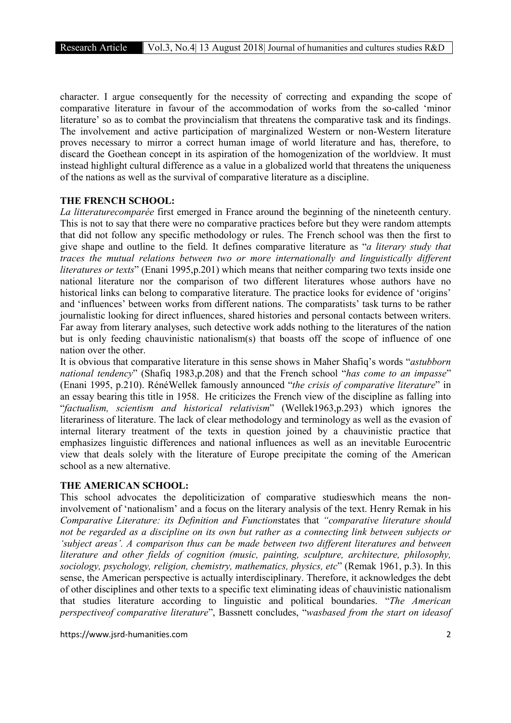character. I argue consequently for the necessity of correcting and expanding the scope of comparative literature in favour of the accommodation of works from the so-called 'minor literature' so as to combat the provincialism that threatens the comparative task and its findings. The involvement and active participation of marginalized Western or non-Western literature proves necessary to mirror a correct human image of world literature and has, therefore, to discard the Goethean concept in its aspiration of the homogenization of the worldview. It must instead highlight cultural difference as a value in a globalized world that threatens the uniqueness of the nations as well as the survival of comparative literature as a discipline.

#### THE FRENCH SCHOOL:

*La litteraturecomparée* first emerged in France around the beginning of the nineteenth century. This is not to say that there were no comparative practices before but they were random attempts that did not follow any specific methodology or rules. The French school was then the first to give shape and outline to the field. It defines comparative literature as "*a literary study that traces the mutual relations between two or more internationally and linguistically different literatures or texts*" (Enani 1995,p.201) which means that neither comparing two texts inside one national literature nor the comparison of two different literatures whose authors have no historical links can belong to comparative literature. The practice looks for evidence of 'origins' and 'influences' between works from different nations. The comparatists' task turns to be rather journalistic looking for direct influences, shared histories and personal contacts between writers. Far away from literary analyses, such detective work adds nothing to the literatures of the nation but is only feeding chauvinistic nationalism(s) that boasts off the scope of influence of one nation over the other.

It is obvious that comparative literature in this sense shows in Maher Shafiq's words "*astubborn national tendency*" (Shafiq 1983,p.208) and that the French school "*has come to an impasse*" (Enani 1995, p.210). RénéWellek famously announced "*the crisis of comparative literature*" in an essay bearing this title in 1958. He criticizes the French view of the discipline as falling into "*factualism, scientism and historical relativism*" (Wellek1963,p.293) which ignores the literariness of literature. The lack of clear methodology and terminology as well as the evasion of internal literary treatment of the texts in question joined by a chauvinistic practice that emphasizes linguistic differences and national influences as well as an inevitable Eurocentric view that deals solely with the literature of Europe precipitate the coming of the American school as a new alternative.

## THE AMERICAN SCHOOL:

This school advocates the depoliticization of comparative studieswhich means the noninvolvement of 'nationalism' and a focus on the literary analysis of the text. Henry Remak in his *Comparative Literature: its Definition and Function*states that *"comparative literature should not be regarded as a discipline on its own but rather as a connecting link between subjects or 'subject areas'. A comparison thus can be made between two different literatures and between literature and other fields of cognition (music, painting, sculpture, architecture, philosophy, sociology, psychology, religion, chemistry, mathematics, physics, etc*" (Remak 1961, p.3). In this sense, the American perspective is actually interdisciplinary. Therefore, it acknowledges the debt of other disciplines and other texts to a specific text eliminating ideas of chauvinistic nationalism that studies literature according to linguistic and political boundaries. "*The American perspectiveof comparative literature*", Bassnett concludes, "*wasbased from the start on ideasof*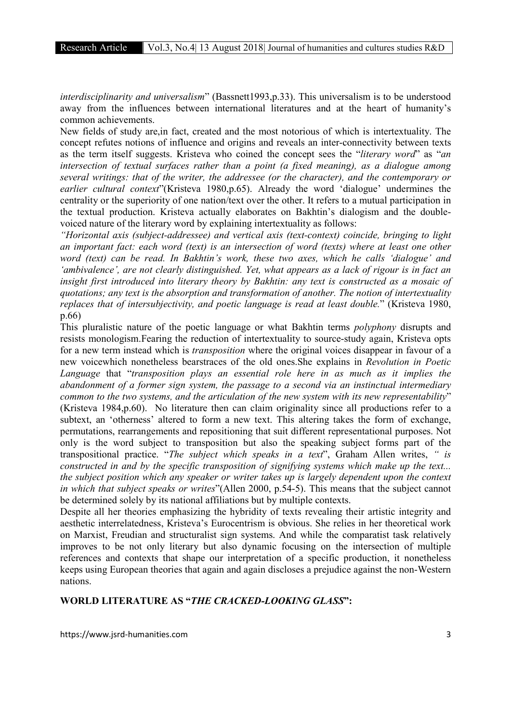*interdisciplinarity and universalism*" (Bassnett1993,p.33). This universalism is to be understood away from the influences between international literatures and at the heart of humanity's common achievements.

New fields of study are,in fact, created and the most notorious of which is intertextuality. The concept refutes notions of influence and origins and reveals an inter-connectivity between texts as the term itself suggests. Kristeva who coined the concept sees the "*literary word*" as "*an intersection of textual surfaces rather than a point (a fixed meaning), as a dialogue among several writings: that of the writer, the addressee (or the character), and the contemporary or earlier cultural context*"(Kristeva 1980,p.65). Already the word 'dialogue' undermines the centrality or the superiority of one nation/text over the other. It refers to a mutual participation in the textual production. Kristeva actually elaborates on Bakhtin's dialogism and the doublevoiced nature of the literary word by explaining intertextuality as follows:

*"Horizontal axis (subject-addressee) and vertical axis (text-context) coincide, bringing to light an important fact: each word (text) is an intersection of word (texts) where at least one other word (text) can be read. In Bakhtin's work, these two axes, which he calls 'dialogue' and 'ambivalence', are not clearly distinguished. Yet, what appears as a lack of rigour is in fact an insight first introduced into literary theory by Bakhtin: any text is constructed as a mosaic of quotations; any text is the absorption and transformation of another. The notion of intertextuality replaces that of intersubjectivity, and poetic language is read at least double.*" (Kristeva 1980, p.66)

This pluralistic nature of the poetic language or what Bakhtin terms *polyphony* disrupts and resists monologism.Fearing the reduction of intertextuality to source-study again, Kristeva opts for a new term instead which is *transposition* where the original voices disappear in favour of a new voicewhich nonetheless bearstraces of the old ones.She explains in *Revolution in Poetic Language* that "*transposition plays an essential role here in as much as it implies the abandonment of a former sign system, the passage to a second via an instinctual intermediary common to the two systems, and the articulation of the new system with its new representability*" (Kristeva 1984,p.60). No literature then can claim originality since all productions refer to a subtext, an 'otherness' altered to form a new text. This altering takes the form of exchange, permutations, rearrangements and repositioning that suit different representational purposes. Not only is the word subject to transposition but also the speaking subject forms part of the transpositional practice. "*The subject which speaks in a text*", Graham Allen writes, *" is constructed in and by the specific transposition of signifying systems which make up the text... the subject position which any speaker or writer takes up is largely dependent upon the context in which that subject speaks or writes*"(Allen 2000, p.54-5). This means that the subject cannot be determined solely by its national affiliations but by multiple contexts.

Despite all her theories emphasizing the hybridity of texts revealing their artistic integrity and aesthetic interrelatedness, Kristeva's Eurocentrism is obvious. She relies in her theoretical work on Marxist, Freudian and structuralist sign systems. And while the comparatist task relatively improves to be not only literary but also dynamic focusing on the intersection of multiple references and contexts that shape our interpretation of a specific production, it nonetheless keeps using European theories that again and again discloses a prejudice against the non-Western nations.

## WORLD LITERATURE AS "*THE CRACKED-LOOKING GLASS*":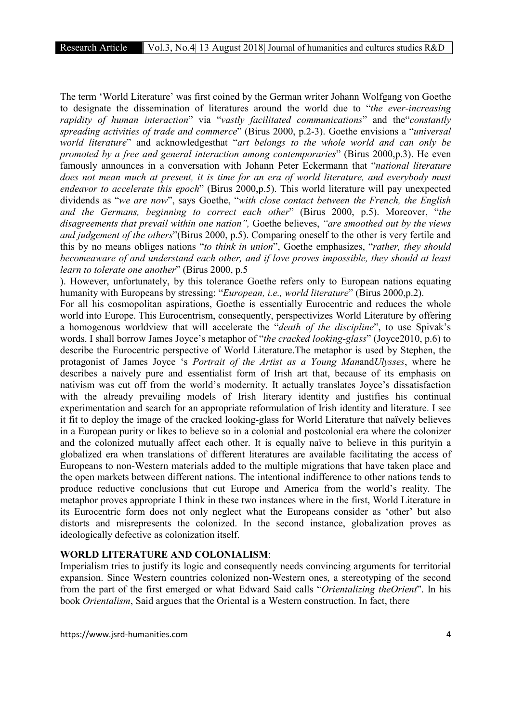The term 'World Literature' was first coined by the German writer Johann Wolfgang von Goethe to designate the dissemination of literatures around the world due to "*the ever-increasing rapidity of human interaction*" via "*vastly facilitated communications*" and the"*constantly spreading activities of trade and commerce*" (Birus 2000, p.2-3). Goethe envisions a "*universal world literature*" and acknowledgesthat "*art belongs to the whole world and can only be promoted by a free and general interaction among contemporaries*" (Birus 2000,p.3). He even famously announces in a conversation with Johann Peter Eckermann that "*national literature does not mean much at present, it is time for an era of world literature, and everybody must endeavor to accelerate this epoch*" (Birus 2000,p.5). This world literature will pay unexpected dividends as "*we are now*", says Goethe, "*with close contact between the French, the English and the Germans, beginning to correct each other*" (Birus 2000, p.5). Moreover, "*the disagreements that prevail within one nation",* Goethe believes, *"are smoothed out by the views and judgement of the others*"(Birus 2000, p.5). Comparing oneself to the other is very fertile and this by no means obliges nations "*to think in union*", Goethe emphasizes, "*rather, they should becomeaware of and understand each other, and if love proves impossible, they should at least learn to tolerate one another*" (Birus 2000, p.5

). However, unfortunately, by this tolerance Goethe refers only to European nations equating humanity with Europeans by stressing: "*European, i.e., world literature*" (Birus 2000,p.2).

For all his cosmopolitan aspirations, Goethe is essentially Eurocentric and reduces the whole world into Europe. This Eurocentrism, consequently, perspectivizes World Literature by offering a homogenous worldview that will accelerate the "*death of the discipline*", to use Spivak's words. I shall borrow James Joyce's metaphor of "*the cracked looking-glass*" (Joyce2010, p.6) to describe the Eurocentric perspective of World Literature.The metaphor is used by Stephen, the protagonist of James Joyce 's *Portrait of the Artist as a Young Man*and*Ulysses*, where he describes a naively pure and essentialist form of Irish art that, because of its emphasis on nativism was cut off from the world's modernity. It actually translates Joyce's dissatisfaction with the already prevailing models of Irish literary identity and justifies his continual experimentation and search for an appropriate reformulation of Irish identity and literature. I see it fit to deploy the image of the cracked looking-glass for World Literature that naïvely believes in a European purity or likes to believe so in a colonial and postcolonial era where the colonizer and the colonized mutually affect each other. It is equally naïve to believe in this purityin a globalized era when translations of different literatures are available facilitating the access of Europeans to non-Western materials added to the multiple migrations that have taken place and the open markets between different nations. The intentional indifference to other nations tends to produce reductive conclusions that cut Europe and America from the world's reality. The metaphor proves appropriate I think in these two instances where in the first, World Literature in its Eurocentric form does not only neglect what the Europeans consider as 'other' but also distorts and misrepresents the colonized. In the second instance, globalization proves as ideologically defective as colonization itself.

#### WORLD LITERATURE AND COLONIALISM:

Imperialism tries to justify its logic and consequently needs convincing arguments for territorial expansion. Since Western countries colonized non-Western ones, a stereotyping of the second from the part of the first emerged or what Edward Said calls "*Orientalizing theOrient*". In his book *Orientalism*, Said argues that the Oriental is a Western construction. In fact, there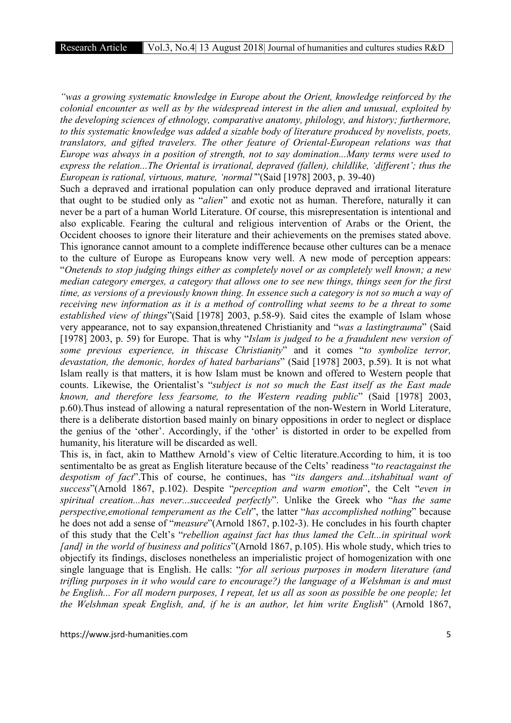*"was a growing systematic knowledge in Europe about the Orient, knowledge reinforced by the colonial encounter as well as by the widespread interest in the alien and unusual, exploited by the developing sciences of ethnology, comparative anatomy, philology, and history; furthermore, to this systematic knowledge was added a sizable body of literature produced by novelists, poets, translators, and gifted travelers. The other feature of Oriental-European relations was that Europe was always in a position of strength, not to say domination...Many terms were used to express the relation...The Oriental is irrational, depraved (fallen), childlike, 'different'; thus the European is rational, virtuous, mature, 'normal'*"(Said [1978] 2003, p. 39-40)

Such a depraved and irrational population can only produce depraved and irrational literature that ought to be studied only as "*alien*" and exotic not as human. Therefore, naturally it can never be a part of a human World Literature. Of course, this misrepresentation is intentional and also explicable. Fearing the cultural and religious intervention of Arabs or the Orient, the Occident chooses to ignore their literature and their achievements on the premises stated above. This ignorance cannot amount to a complete indifference because other cultures can be a menace to the culture of Europe as Europeans know very well. A new mode of perception appears: "*Onetends to stop judging things either as completely novel or as completely well known; a new median category emerges, a category that allows one to see new things, things seen for the first time, as versions of a previously known thing. In essence such a category is not so much a way of receiving new information as it is a method of controlling what seems to be a threat to some established view of things*"(Said [1978] 2003, p.58-9). Said cites the example of Islam whose very appearance, not to say expansion,threatened Christianity and "*was a lastingtrauma*" (Said [1978] 2003, p. 59) for Europe. That is why "*Islam is judged to be a fraudulent new version of some previous experience, in thiscase Christianity*" and it comes "*to symbolize terror, devastation, the demonic, hordes of hated barbarians*" (Said [1978] 2003, p.59). It is not what Islam really is that matters, it is how Islam must be known and offered to Western people that counts. Likewise, the Orientalist's "*subject is not so much the East itself as the East made known, and therefore less fearsome, to the Western reading public*" (Said [1978] 2003, p.60).Thus instead of allowing a natural representation of the non-Western in World Literature, there is a deliberate distortion based mainly on binary oppositions in order to neglect or displace the genius of the 'other'. Accordingly, if the 'other' is distorted in order to be expelled from humanity, his literature will be discarded as well.

This is, in fact, akin to Matthew Arnold's view of Celtic literature.According to him, it is too sentimentalto be as great as English literature because of the Celts' readiness "*to reactagainst the despotism of fact*".This of course, he continues, has "*its dangers and...itshabitual want of success*"(Arnold 1867, p.102). Despite "*perception and warm emotion*", the Celt "*even in spiritual creation...has never...succeeded perfectly*". Unlike the Greek who "*has the same perspective,emotional temperament as the Celt*", the latter "*has accomplished nothing*" because he does not add a sense of "*measure*"(Arnold 1867, p.102-3). He concludes in his fourth chapter of this study that the Celt's "*rebellion against fact has thus lamed the Celt...in spiritual work [and] in the world of business and politics*"(Arnold 1867, p.105). His whole study, which tries to objectify its findings, discloses nonetheless an imperialistic project of homogenization with one single language that is English. He calls: "*for all serious purposes in modern literature (and trifling purposes in it who would care to encourage?) the language of a Welshman is and must be English... For all modern purposes, I repeat, let us all as soon as possible be one people; let the Welshman speak English, and, if he is an author, let him write English*" (Arnold 1867,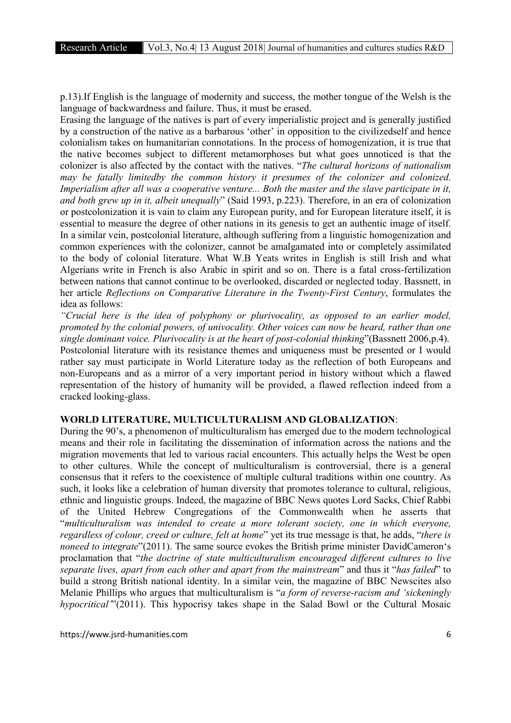p.13).If English is the language of modernity and success, the mother tongue of the Welsh is the language of backwardness and failure. Thus, it must be erased.

Erasing the language of the natives is part of every imperialistic project and is generally justified by a construction of the native as a barbarous 'other' in opposition to the civilizedself and hence colonialism takes on humanitarian connotations. In the process of homogenization, it is true that the native becomes subject to different metamorphoses but what goes unnoticed is that the colonizer is also affected by the contact with the natives. "*The cultural horizons of nationalism may be fatally limitedby the common history it presumes of the colonizer and colonized. Imperialism after all was a cooperative venture... Both the master and the slave participate in it, and both grew up in it, albeit unequally*" (Said 1993, p.223). Therefore, in an era of colonization or postcolonization it is vain to claim any European purity, and for European literature itself, it is essential to measure the degree of other nations in its genesis to get an authentic image of itself. In a similar vein, postcolonial literature, although suffering from a linguistic homogenization and common experiences with the colonizer, cannot be amalgamated into or completely assimilated to the body of colonial literature. What W.B Yeats writes in English is still Irish and what Algerians write in French is also Arabic in spirit and so on. There is a fatal cross-fertilization between nations that cannot continue to be overlooked, discarded or neglected today. Bassnett, in her article *Reflections on Comparative Literature in the Twenty-First Century*, formulates the idea as follows:

*"Crucial here is the idea of polyphony or plurivocality, as opposed to an earlier model, promoted by the colonial powers, of univocality. Other voices can now be heard, rather than one single dominant voice. Plurivocality is at the heart of post-colonial thinking*"(Bassnett 2006,p.4). Postcolonial literature with its resistance themes and uniqueness must be presented or I would rather say must participate in World Literature today as the reflection of both Europeans and non-Europeans and as a mirror of a very important period in history without which a flawed representation of the history of humanity will be provided, a flawed reflection indeed from a cracked looking-glass.

#### WORLD LITERATURE, MULTICULTURALISM AND GLOBALIZATION:

During the 90's, a phenomenon of multiculturalism has emerged due to the modern technological means and their role in facilitating the dissemination of information across the nations and the migration movements that led to various racial encounters. This actually helps the West be open to other cultures. While the concept of multiculturalism is controversial, there is a general consensus that it refers to the coexistence of multiple cultural traditions within one country. As such, it looks like a celebration of human diversity that promotes tolerance to cultural, religious, ethnic and linguistic groups. Indeed, the magazine of BBC News quotes Lord Sacks, Chief Rabbi of the United Hebrew Congregations of the Commonwealth when he asserts that "*multiculturalism was intended to create a more tolerant society, one in which everyone, regardless of colour, creed or culture, felt at home*" yet its true message is that, he adds, "*there is noneed to integrate*"(2011). The same source evokes the British prime minister DavidCameron's proclamation that "*the doctrine of state multiculturalism encouraged different cultures to live separate lives, apart from each other and apart from the mainstream*" and thus it "*has failed*" to build a strong British national identity. In a similar vein, the magazine of BBC Newscites also Melanie Phillips who argues that multiculturalism is "*a form of reverse-racism and 'sickeningly hypocritical'*"(2011). This hypocrisy takes shape in the Salad Bowl or the Cultural Mosaic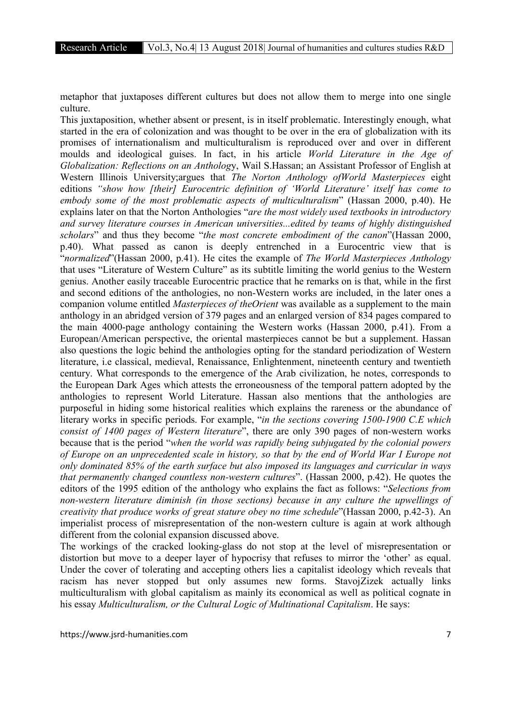metaphor that juxtaposes different cultures but does not allow them to merge into one single culture.

This juxtaposition, whether absent or present, is in itself problematic. Interestingly enough, what started in the era of colonization and was thought to be over in the era of globalization with its promises of internationalism and multiculturalism is reproduced over and over in different moulds and ideological guises. In fact, in his article *World Literature in the Age of Globalization: Reflections on an Antholog*y, Wail S.Hassan; an Assistant Professor of English at Western Illinois University;argues that *The Norton Anthology ofWorld Masterpieces* eight editions *"show how [their] Eurocentric definition of 'World Literature' itself has come to embody some of the most problematic aspects of multiculturalism*" (Hassan 2000, p.40). He explains later on that the Norton Anthologies "*are the most widely used textbooks in introductory and survey literature courses in American universities...edited by teams of highly distinguished scholars*" and thus they become "*the most concrete embodiment of the canon*"(Hassan 2000, p.40). What passed as canon is deeply entrenched in a Eurocentric view that is "*normalized*"(Hassan 2000, p.41). He cites the example of *The World Masterpieces Anthology* that uses "Literature of Western Culture" as its subtitle limiting the world genius to the Western genius. Another easily traceable Eurocentric practice that he remarks on is that, while in the first and second editions of the anthologies, no non-Western works are included, in the later ones a companion volume entitled *Masterpieces of theOrient* was available as a supplement to the main anthology in an abridged version of 379 pages and an enlarged version of 834 pages compared to the main 4000-page anthology containing the Western works (Hassan 2000, p.41). From a European/American perspective, the oriental masterpieces cannot be but a supplement. Hassan also questions the logic behind the anthologies opting for the standard periodization of Western literature, i.e classical, medieval, Renaissance, Enlightenment, nineteenth century and twentieth century. What corresponds to the emergence of the Arab civilization, he notes, corresponds to the European Dark Ages which attests the erroneousness of the temporal pattern adopted by the anthologies to represent World Literature. Hassan also mentions that the anthologies are purposeful in hiding some historical realities which explains the rareness or the abundance of literary works in specific periods. For example, "*in the sections covering 1500-1900 C.E which consist of 1400 pages of Western literature*", there are only 390 pages of non-western works because that is the period "*when the world was rapidly being subjugated by the colonial powers of Europe on an unprecedented scale in history, so that by the end of World War I Europe not only dominated 85% of the earth surface but also imposed its languages and curricular in ways that permanently changed countless non-western cultures*". (Hassan 2000, p.42). He quotes the editors of the 1995 edition of the anthology who explains the fact as follows: "*Selections from non-western literature diminish (in those sections) because in any culture the upwellings of creativity that produce works of great stature obey no time schedule*"(Hassan 2000, p.42-3). An imperialist process of misrepresentation of the non-western culture is again at work although different from the colonial expansion discussed above.

The workings of the cracked looking-glass do not stop at the level of misrepresentation or distortion but move to a deeper layer of hypocrisy that refuses to mirror the 'other' as equal. Under the cover of tolerating and accepting others lies a capitalist ideology which reveals that racism has never stopped but only assumes new forms. StavojZizek actually links multiculturalism with global capitalism as mainly its economical as well as political cognate in his essay *Multiculturalism, or the Cultural Logic of Multinational Capitalism*. He says: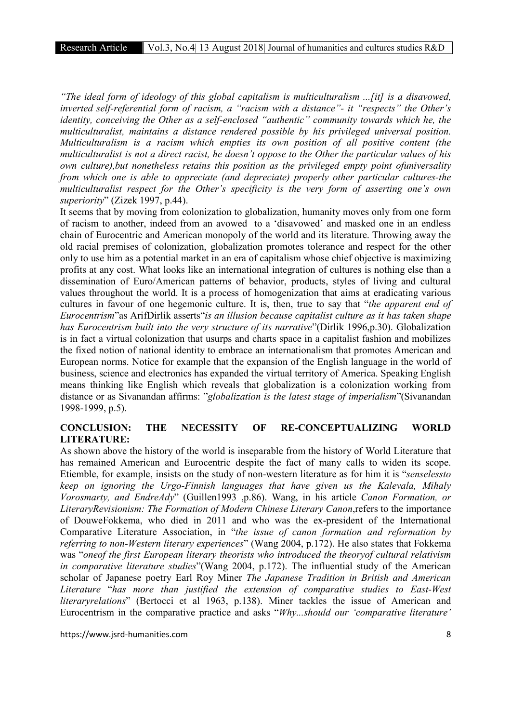*"The ideal form of ideology of this global capitalism is multiculturalism ...[it] is a disavowed, inverted self-referential form of racism, a "racism with a distance"- it "respects" the Other's identity, conceiving the Other as a self-enclosed "authentic" community towards which he, the multiculturalist, maintains a distance rendered possible by his privileged universal position. Multiculturalism is a racism which empties its own position of all positive content (the multiculturalist is not a direct racist, he doesn't oppose to the Other the particular values of his own culture),but nonetheless retains this position as the privileged empty point ofuniversality from which one is able to appreciate (and depreciate) properly other particular cultures-the multiculturalist respect for the Other's specificity is the very form of asserting one's own superiority*" (Zizek 1997, p.44).

It seems that by moving from colonization to globalization, humanity moves only from one form of racism to another, indeed from an avowed to a 'disavowed' and masked one in an endless chain of Eurocentric and American monopoly of the world and its literature. Throwing away the old racial premises of colonization, globalization promotes tolerance and respect for the other only to use him as a potential market in an era of capitalism whose chief objective is maximizing profits at any cost. What looks like an international integration of cultures is nothing else than a dissemination of Euro/American patterns of behavior, products, styles of living and cultural values throughout the world. It is a process of homogenization that aims at eradicating various cultures in favour of one hegemonic culture. It is, then, true to say that "*the apparent end of Eurocentrism*"as ArifDirlik asserts"*is an illusion because capitalist culture as it has taken shape has Eurocentrism built into the very structure of its narrative*"(Dirlik 1996,p.30). Globalization is in fact a virtual colonization that usurps and charts space in a capitalist fashion and mobilizes the fixed notion of national identity to embrace an internationalism that promotes American and European norms. Notice for example that the expansion of the English language in the world of business, science and electronics has expanded the virtual territory of America. Speaking English means thinking like English which reveals that globalization is a colonization working from distance or as Sivanandan affirms: "*globalization is the latest stage of imperialism*"(Sivanandan 1998-1999, p.5).

## CONCLUSION: THE NECESSITY OF RE-CONCEPTUALIZING WORLD LITERATURE:

As shown above the history of the world is inseparable from the history of World Literature that has remained American and Eurocentric despite the fact of many calls to widen its scope. Etiemble, for example, insists on the study of non-western literature as for him it is "*senselessto keep on ignoring the Urgo-Finnish languages that have given us the Kalevala, Mihaly Vorosmarty, and EndreAdy*" (Guillen1993 ,p.86). Wang, in his article *Canon Formation, or LiteraryRevisionism: The Formation of Modern Chinese Literary Canon*,refers to the importance of DouweFokkema, who died in 2011 and who was the ex-president of the International Comparative Literature Association, in "*the issue of canon formation and reformation by referring to non-Western literary experiences*" (Wang 2004, p.172). He also states that Fokkema was "*oneof the first European literary theorists who introduced the theoryof cultural relativism in comparative literature studies*"(Wang 2004, p.172). The influential study of the American scholar of Japanese poetry Earl Roy Miner *The Japanese Tradition in British and American Literature* "*has more than justified the extension of comparative studies to East-West literaryrelations*" (Bertocci et al 1963, p.138). Miner tackles the issue of American and Eurocentrism in the comparative practice and asks "*Why...should our 'comparative literature'*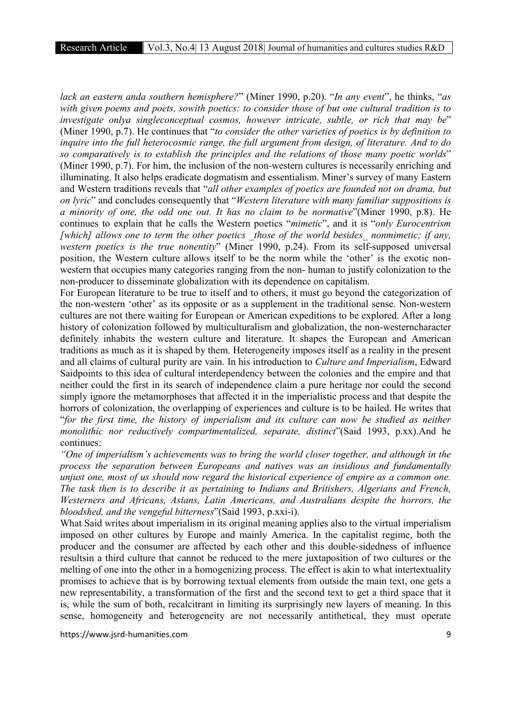*lack an eastern anda southern hemisphere?*" (Miner 1990, p.20). "*In any event*", he thinks, "*as with given poems and poets, sowith poetics: to consider those of but one cultural tradition is to investigate onlya singleconceptual cosmos, however intricate, subtle, or rich that may be*" (Miner 1990, p.7). He continues that "*to consider the other varieties of poetics is by definition to inquire into the full heterocosmic range, the full argument from design, of literature. And to do so comparatively is to establish the principles and the relations of those many poetic worlds*" (Miner 1990, p.7). For him, the inclusion of the non-western cultures is necessarily enriching and illuminating. It also helps eradicate dogmatism and essentialism. Miner's survey of many Eastern and Western traditions reveals that "*all other examples of poetics are founded not on drama, but on lyric*" and concludes consequently that "*Western literature with many familiar suppositions is a minority of one, the odd one out. It has no claim to be normative*"(Miner 1990, p.8). He continues to explain that he calls the Western poetics "*mimetic*", and it is "*only Eurocentrism [which] allows one to term the other poetics \_those of the world besides\_ nonmimetic; if any, western poetics is the true nonentity*" (Miner 1990, p.24). From its self-supposed universal position, the Western culture allows itself to be the norm while the 'other' is the exotic nonwestern that occupies many categories ranging from the non- human to justify colonization to the non-producer to disseminate globalization with its dependence on capitalism.

For European literature to be true to itself and to others, it must go beyond the categorization of the non-western 'other' as its opposite or as a supplement in the traditional sense. Non-western cultures are not there waiting for European or American expeditions to be explored. After a long history of colonization followed by multiculturalism and globalization, the non-westerncharacter definitely inhabits the western culture and literature. It shapes the European and American traditions as much as it is shaped by them. Heterogeneity imposes itself as a reality in the present and all claims of cultural purity are vain. In his introduction to *Culture and Imperialism*, Edward Saidpoints to this idea of cultural interdependency between the colonies and the empire and that neither could the first in its search of independence claim a pure heritage nor could the second simply ignore the metamorphoses that affected it in the imperialistic process and that despite the horrors of colonization, the overlapping of experiences and culture is to be hailed. He writes that "*for the first time, the history of imperialism and its culture can now be studied as neither monolithic nor reductively compartmentalized, separate, distinct*"(Said 1993, p.xx).And he continues:

*"One of imperialism's achievements was to bring the world closer together, and although in the process the separation between Europeans and natives was an insidious and fundamentally unjust one, most of us should now regard the historical experience of empire as a common one. The task then is to describe it as pertaining to Indians and Britishers, Algerians and French, Westerners and Africans, Asians, Latin Americans, and Australians despite the horrors, the bloodshed, and the vengeful bitterness*"(Said 1993, p.xxi-i).

What Said writes about imperialism in its original meaning applies also to the virtual imperialism imposed on other cultures by Europe and mainly America. In the capitalist regime, both the producer and the consumer are affected by each other and this double-sidedness of influence resultsin a third culture that cannot be reduced to the mere juxtaposition of two cultures or the melting of one into the other in a homogenizing process. The effect is akin to what intertextuality promises to achieve that is by borrowing textual elements from outside the main text, one gets a new representability, a transformation of the first and the second text to get a third space that it is, while the sum of both, recalcitrant in limiting its surprisingly new layers of meaning. In this sense, homogeneity and heterogeneity are not necessarily antithetical, they must operate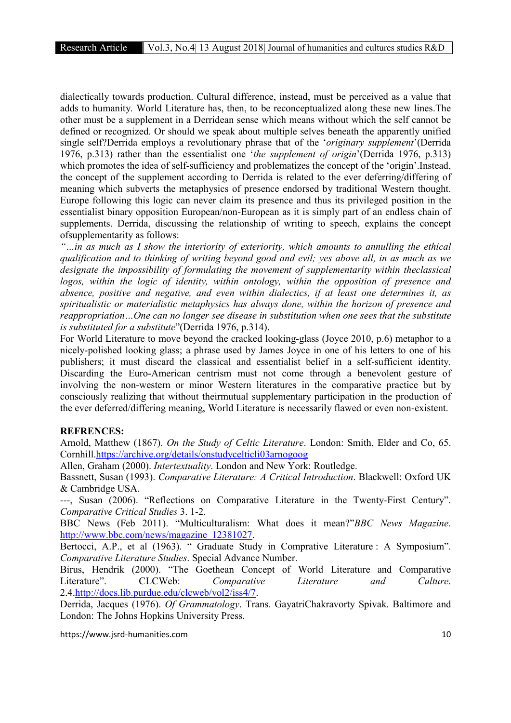dialectically towards production. Cultural difference, instead, must be perceived as a value that adds to humanity. World Literature has, then, to be reconceptualized along these new lines.The other must be a supplement in a Derridean sense which means without which the self cannot be defined or recognized. Or should we speak about multiple selves beneath the apparently unified single self?Derrida employs a revolutionary phrase that of the '*originary supplement*'(Derrida 1976, p.313) rather than the essentialist one '*the supplement of origin*'(Derrida 1976, p.313) which promotes the idea of self-sufficiency and problematizes the concept of the 'origin'.Instead, the concept of the supplement according to Derrida is related to the ever deferring/differing of meaning which subverts the metaphysics of presence endorsed by traditional Western thought. Europe following this logic can never claim its presence and thus its privileged position in the essentialist binary opposition European/non-European as it is simply part of an endless chain of supplements. Derrida, discussing the relationship of writing to speech, explains the concept ofsupplementarity as follows:

*"…in as much as I show the interiority of exteriority, which amounts to annulling the ethical qualification and to thinking of writing beyond good and evil; yes above all, in as much as we designate the impossibility of formulating the movement of supplementarity within theclassical logos, within the logic of identity, within ontology, within the opposition of presence and absence, positive and negative, and even within dialectics, if at least one determines it, as spiritualistic or materialistic metaphysics has always done, within the horizon of presence and reappropriation…One can no longer see disease in substitution when one sees that the substitute is substituted for a substitute*"(Derrida 1976, p.314).

For World Literature to move beyond the cracked looking-glass (Joyce 2010, p.6) metaphor to a nicely-polished looking glass; a phrase used by James Joyce in one of his letters to one of his publishers; it must discard the classical and essentialist belief in a self-sufficient identity. Discarding the Euro-American centrism must not come through a benevolent gesture of involving the non-western or minor Western literatures in the comparative practice but by consciously realizing that without theirmutual supplementary participation in the production of the ever deferred/differing meaning, World Literature is necessarily flawed or even non-existent.

### REFRENCES:

Arnold, Matthew (1867). *On the Study of Celtic Literature*. London: Smith, Elder and Co, 65. Cornhill.https://archive.org/details/onstudycelticli03arnogoog

Allen, Graham (2000). *Intertextuality*. London and New York: Routledge.

Bassnett, Susan (1993). *Comparative Literature: A Critical Introduction*. Blackwell: Oxford UK & Cambridge USA.

---, Susan (2006). "Reflections on Comparative Literature in the Twenty-First Century". *Comparative Critical Studies* 3. 1-2.

BBC News (Feb 2011). "Multiculturalism: What does it mean?"*BBC News Magazine*. http://www.bbc.com/news/magazine\_12381027.

Bertocci, A.P., et al (1963). " Graduate Study in Comprative Literature : A Symposium". *Comparative Literature Studies*. Special Advance Number.

Birus, Hendrik (2000). "The Goethean Concept of World Literature and Comparative Literature". CLCWeb: *Comparative Literature and Culture*. 2.4.http://docs.lib.purdue.edu/clcweb/vol2/iss4/7.

Derrida, Jacques (1976). *Of Grammatology*. Trans. GayatriChakravorty Spivak. Baltimore and London: The Johns Hopkins University Press.